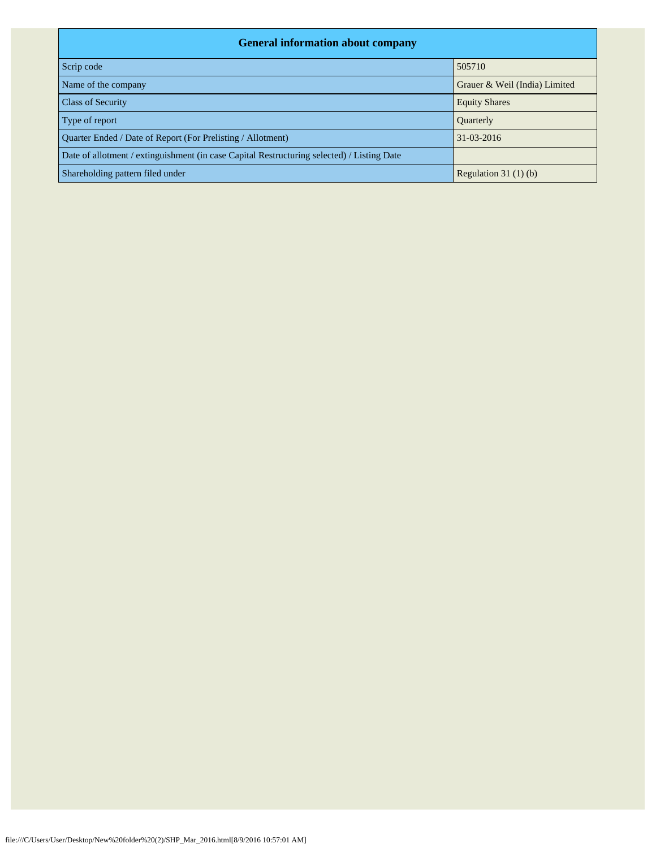| <b>General information about company</b>                                                   |                               |  |  |  |  |  |  |  |
|--------------------------------------------------------------------------------------------|-------------------------------|--|--|--|--|--|--|--|
| Scrip code                                                                                 | 505710                        |  |  |  |  |  |  |  |
| Name of the company                                                                        | Grauer & Weil (India) Limited |  |  |  |  |  |  |  |
| <b>Class of Security</b>                                                                   | <b>Equity Shares</b>          |  |  |  |  |  |  |  |
| Type of report                                                                             | Quarterly                     |  |  |  |  |  |  |  |
| Quarter Ended / Date of Report (For Prelisting / Allotment)                                | 31-03-2016                    |  |  |  |  |  |  |  |
| Date of allotment / extinguishment (in case Capital Restructuring selected) / Listing Date |                               |  |  |  |  |  |  |  |
| Shareholding pattern filed under                                                           | Regulation $31(1)(b)$         |  |  |  |  |  |  |  |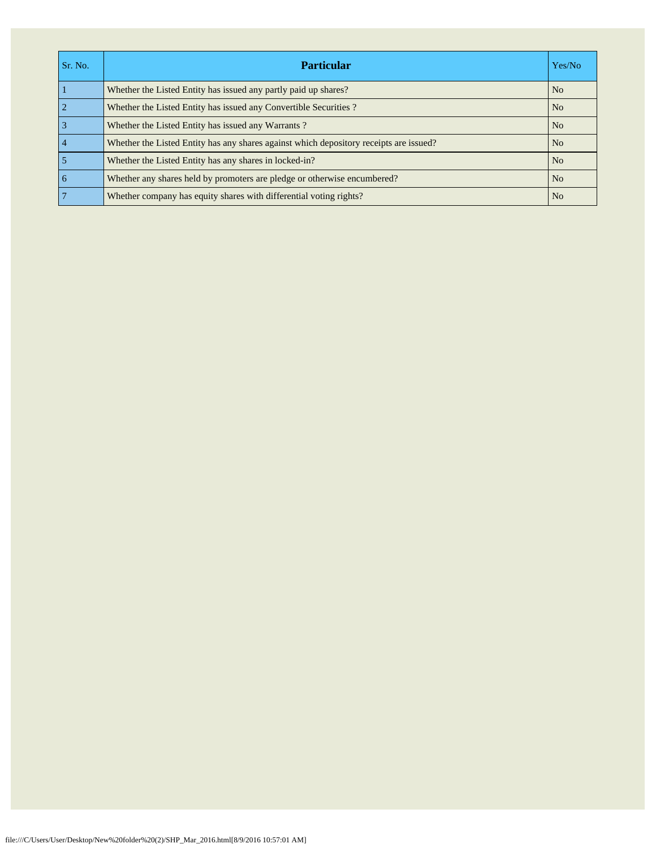| Sr. No.         | <b>Particular</b>                                                                      | Yes/No         |
|-----------------|----------------------------------------------------------------------------------------|----------------|
|                 | Whether the Listed Entity has issued any partly paid up shares?                        | N <sub>o</sub> |
| $\overline{2}$  | Whether the Listed Entity has issued any Convertible Securities?                       | N <sub>o</sub> |
| $\overline{3}$  | Whether the Listed Entity has issued any Warrants?                                     | N <sub>o</sub> |
| $\overline{4}$  | Whether the Listed Entity has any shares against which depository receipts are issued? | N <sub>o</sub> |
| 5               | Whether the Listed Entity has any shares in locked-in?                                 | N <sub>0</sub> |
| $\overline{6}$  | Whether any shares held by promoters are pledge or otherwise encumbered?               | N <sub>o</sub> |
| $7\phantom{.0}$ | Whether company has equity shares with differential voting rights?                     | N <sub>o</sub> |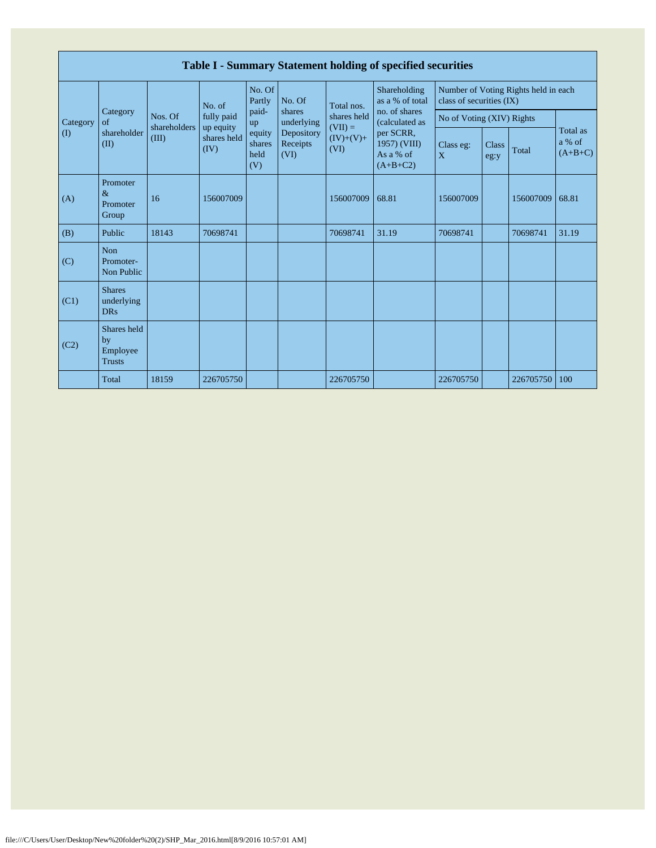|          | Table I - Summary Statement holding of specified securities |                                  |                         |                                 |                                |                                                               |                                                                                                                            |                                                                  |                      |           |                                 |  |  |
|----------|-------------------------------------------------------------|----------------------------------|-------------------------|---------------------------------|--------------------------------|---------------------------------------------------------------|----------------------------------------------------------------------------------------------------------------------------|------------------------------------------------------------------|----------------------|-----------|---------------------------------|--|--|
|          | Category<br>of                                              | Nos. Of<br>shareholders<br>(III) | No. of                  | No. Of<br>Partly                | No. Of                         | Total nos.<br>shares held<br>$(VII) =$<br>$(IV)+(V)+$<br>(VI) | Shareholding<br>as a % of total<br>no. of shares<br>(calculated as<br>per SCRR,<br>1957) (VIII)<br>As a % of<br>$(A+B+C2)$ | Number of Voting Rights held in each<br>class of securities (IX) |                      |           |                                 |  |  |
| Category |                                                             |                                  | fully paid<br>up equity | paid-<br>up                     | shares<br>underlying           |                                                               |                                                                                                                            | No of Voting (XIV) Rights                                        |                      |           |                                 |  |  |
| (I)      | shareholder<br>(II)                                         |                                  | shares held<br>(IV)     | equity<br>shares<br>held<br>(V) | Depository<br>Receipts<br>(VI) |                                                               |                                                                                                                            | Class eg:<br>X                                                   | <b>Class</b><br>eg:y | Total     | Total as<br>a % of<br>$(A+B+C)$ |  |  |
| (A)      | Promoter<br>$\&$<br>Promoter<br>Group                       | 16                               | 156007009               |                                 |                                | 156007009                                                     | 68.81                                                                                                                      | 156007009                                                        |                      | 156007009 | 68.81                           |  |  |
| (B)      | Public                                                      | 18143                            | 70698741                |                                 |                                | 70698741                                                      | 31.19                                                                                                                      | 70698741                                                         |                      | 70698741  | 31.19                           |  |  |
| (C)      | Non<br>Promoter-<br>Non Public                              |                                  |                         |                                 |                                |                                                               |                                                                                                                            |                                                                  |                      |           |                                 |  |  |
| (C1)     | <b>Shares</b><br>underlying<br><b>DRs</b>                   |                                  |                         |                                 |                                |                                                               |                                                                                                                            |                                                                  |                      |           |                                 |  |  |
| (C2)     | Shares held<br>by<br>Employee<br><b>Trusts</b>              |                                  |                         |                                 |                                |                                                               |                                                                                                                            |                                                                  |                      |           |                                 |  |  |
|          | Total                                                       | 18159                            | 226705750               |                                 |                                | 226705750                                                     |                                                                                                                            | 226705750                                                        |                      | 226705750 | 100                             |  |  |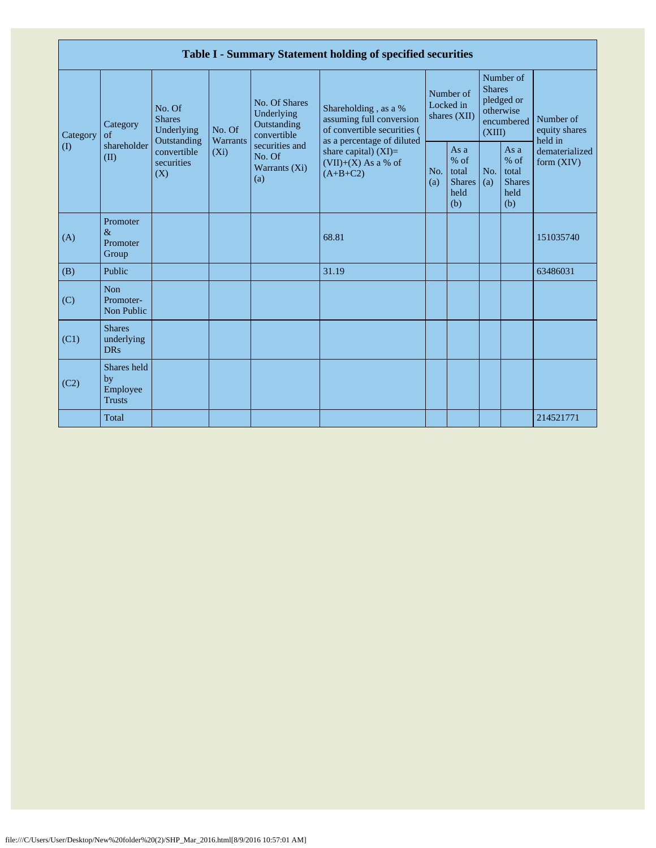|                       | Table I - Summary Statement holding of specified securities |                                                                                          |                               |                                                                                                               |                                                                                             |                                        |                                                         |                                                                               |                                                         |                                       |  |  |  |
|-----------------------|-------------------------------------------------------------|------------------------------------------------------------------------------------------|-------------------------------|---------------------------------------------------------------------------------------------------------------|---------------------------------------------------------------------------------------------|----------------------------------------|---------------------------------------------------------|-------------------------------------------------------------------------------|---------------------------------------------------------|---------------------------------------|--|--|--|
| Category<br>$\rm (I)$ | Category<br>$\alpha$ f<br>shareholder<br>(II)               | No. Of<br><b>Shares</b><br>Underlying<br>Outstanding<br>convertible<br>securities<br>(X) | No. Of<br>Warrants<br>$(X_i)$ | No. Of Shares<br>Underlying<br>Outstanding<br>convertible<br>securities and<br>No. Of<br>Warrants (Xi)<br>(a) | Shareholding, as a %<br>assuming full conversion<br>of convertible securities (             | Number of<br>Locked in<br>shares (XII) |                                                         | Number of<br><b>Shares</b><br>pledged or<br>otherwise<br>encumbered<br>(XIII) |                                                         | Number of<br>equity shares<br>held in |  |  |  |
|                       |                                                             |                                                                                          |                               |                                                                                                               | as a percentage of diluted<br>share capital) $(XI)=$<br>$(VII)+(X)$ As a % of<br>$(A+B+C2)$ | No.<br>(a)                             | As a<br>$%$ of<br>total<br><b>Shares</b><br>held<br>(b) | No.<br>(a)                                                                    | As a<br>$%$ of<br>total<br><b>Shares</b><br>held<br>(b) | dematerialized<br>form $(XIV)$        |  |  |  |
| (A)                   | Promoter<br>$\&$<br>Promoter<br>Group                       |                                                                                          |                               |                                                                                                               | 68.81                                                                                       |                                        |                                                         |                                                                               |                                                         | 151035740                             |  |  |  |
| (B)                   | Public                                                      |                                                                                          |                               |                                                                                                               | 31.19                                                                                       |                                        |                                                         |                                                                               |                                                         | 63486031                              |  |  |  |
| (C)                   | <b>Non</b><br>Promoter-<br>Non Public                       |                                                                                          |                               |                                                                                                               |                                                                                             |                                        |                                                         |                                                                               |                                                         |                                       |  |  |  |
| (C1)                  | <b>Shares</b><br>underlying<br><b>DRs</b>                   |                                                                                          |                               |                                                                                                               |                                                                                             |                                        |                                                         |                                                                               |                                                         |                                       |  |  |  |
| (C2)                  | Shares held<br>by<br>Employee<br><b>Trusts</b>              |                                                                                          |                               |                                                                                                               |                                                                                             |                                        |                                                         |                                                                               |                                                         |                                       |  |  |  |
|                       | Total                                                       |                                                                                          |                               |                                                                                                               |                                                                                             |                                        |                                                         |                                                                               |                                                         | 214521771                             |  |  |  |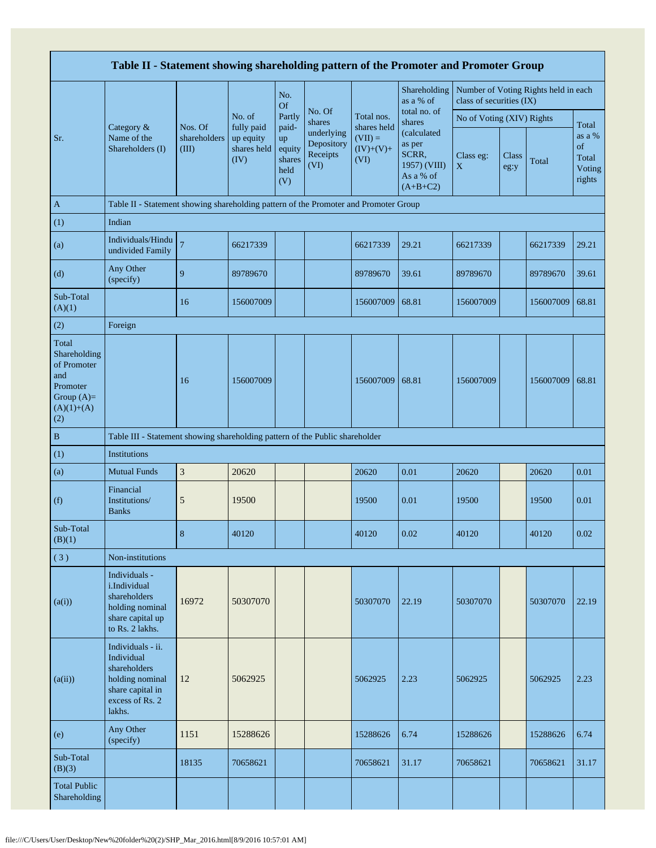|                                                                                                | Table II - Statement showing shareholding pattern of the Promoter and Promoter Group                                |                                  |                                                |                                                |                                                                  |                                                 |                                                                                                     |                           |               |                                      |                                           |  |  |
|------------------------------------------------------------------------------------------------|---------------------------------------------------------------------------------------------------------------------|----------------------------------|------------------------------------------------|------------------------------------------------|------------------------------------------------------------------|-------------------------------------------------|-----------------------------------------------------------------------------------------------------|---------------------------|---------------|--------------------------------------|-------------------------------------------|--|--|
|                                                                                                |                                                                                                                     |                                  |                                                | No.<br><b>Of</b>                               |                                                                  |                                                 | Shareholding<br>as a % of                                                                           | class of securities (IX)  |               | Number of Voting Rights held in each |                                           |  |  |
|                                                                                                |                                                                                                                     |                                  | No. of                                         | Partly                                         | No. Of<br>shares<br>underlying<br>Depository<br>Receipts<br>(VI) | Total nos.                                      | total no. of<br>shares<br>(calculated<br>as per<br>SCRR,<br>1957) (VIII)<br>As a % of<br>$(A+B+C2)$ | No of Voting (XIV) Rights |               |                                      | Total                                     |  |  |
| Sr.                                                                                            | Category &<br>Name of the<br>Shareholders (I)                                                                       | Nos. Of<br>shareholders<br>(III) | fully paid<br>up equity<br>shares held<br>(IV) | paid-<br>up<br>equity<br>shares<br>held<br>(V) |                                                                  | shares held<br>$(VII) =$<br>$(IV)+(V)+$<br>(VI) |                                                                                                     | Class eg:<br>$\mathbf X$  | Class<br>eg:y | Total                                | as a %<br>of<br>Total<br>Voting<br>rights |  |  |
| $\mathbf{A}$                                                                                   | Table II - Statement showing shareholding pattern of the Promoter and Promoter Group                                |                                  |                                                |                                                |                                                                  |                                                 |                                                                                                     |                           |               |                                      |                                           |  |  |
| (1)                                                                                            | Indian                                                                                                              |                                  |                                                |                                                |                                                                  |                                                 |                                                                                                     |                           |               |                                      |                                           |  |  |
| (a)                                                                                            | Individuals/Hindu<br>undivided Family                                                                               | $\overline{7}$                   | 66217339                                       |                                                |                                                                  | 66217339                                        | 29.21                                                                                               | 66217339                  |               | 66217339                             | 29.21                                     |  |  |
| (d)                                                                                            | Any Other<br>(specify)                                                                                              | 9                                | 89789670                                       |                                                |                                                                  | 89789670                                        | 39.61                                                                                               | 89789670                  |               | 89789670                             | 39.61                                     |  |  |
| Sub-Total<br>(A)(1)                                                                            |                                                                                                                     | 16                               | 156007009                                      |                                                |                                                                  | 156007009                                       | 68.81                                                                                               | 156007009                 |               | 156007009                            | 68.81                                     |  |  |
| (2)                                                                                            | Foreign                                                                                                             |                                  |                                                |                                                |                                                                  |                                                 |                                                                                                     |                           |               |                                      |                                           |  |  |
| Total<br>Shareholding<br>of Promoter<br>and<br>Promoter<br>Group $(A)=$<br>$(A)(1)+(A)$<br>(2) |                                                                                                                     | 16                               | 156007009                                      |                                                |                                                                  | 156007009                                       | 68.81                                                                                               | 156007009                 |               | 156007009                            | 68.81                                     |  |  |
| $\, {\bf B}$                                                                                   | Table III - Statement showing shareholding pattern of the Public shareholder                                        |                                  |                                                |                                                |                                                                  |                                                 |                                                                                                     |                           |               |                                      |                                           |  |  |
| (1)                                                                                            | Institutions                                                                                                        |                                  |                                                |                                                |                                                                  |                                                 |                                                                                                     |                           |               |                                      |                                           |  |  |
| (a)                                                                                            | <b>Mutual Funds</b>                                                                                                 | $\mathfrak{Z}$                   | 20620                                          |                                                |                                                                  | 20620                                           | 0.01                                                                                                | 20620                     |               | 20620                                | 0.01                                      |  |  |
| (f)                                                                                            | Financial<br>Institutions/<br><b>Banks</b>                                                                          | 5                                | 19500                                          |                                                |                                                                  | 19500                                           | 0.01                                                                                                | 19500                     |               | 19500                                | 0.01                                      |  |  |
| Sub-Total<br>(B)(1)                                                                            |                                                                                                                     | 8                                | 40120                                          |                                                |                                                                  | 40120                                           | 0.02                                                                                                | 40120                     |               | 40120                                | 0.02                                      |  |  |
| (3)                                                                                            | Non-institutions                                                                                                    |                                  |                                                |                                                |                                                                  |                                                 |                                                                                                     |                           |               |                                      |                                           |  |  |
| (a(i))                                                                                         | Individuals -<br>i.Individual<br>shareholders<br>holding nominal<br>share capital up<br>to Rs. 2 lakhs.             | 16972                            | 50307070                                       |                                                |                                                                  | 50307070                                        | 22.19                                                                                               | 50307070                  |               | 50307070                             | 22.19                                     |  |  |
| (a(ii))                                                                                        | Individuals - ii.<br>Individual<br>shareholders<br>holding nominal<br>share capital in<br>excess of Rs. 2<br>lakhs. | 12                               | 5062925                                        |                                                |                                                                  | 5062925                                         | 2.23                                                                                                | 5062925                   |               | 5062925                              | 2.23                                      |  |  |
| (e)                                                                                            | Any Other<br>(specify)                                                                                              | 1151                             | 15288626                                       |                                                |                                                                  | 15288626                                        | 6.74                                                                                                | 15288626                  |               | 15288626                             | 6.74                                      |  |  |
| Sub-Total<br>(B)(3)                                                                            |                                                                                                                     | 18135                            | 70658621                                       |                                                |                                                                  | 70658621                                        | 31.17                                                                                               | 70658621                  |               | 70658621                             | 31.17                                     |  |  |
| <b>Total Public</b><br>Shareholding                                                            |                                                                                                                     |                                  |                                                |                                                |                                                                  |                                                 |                                                                                                     |                           |               |                                      |                                           |  |  |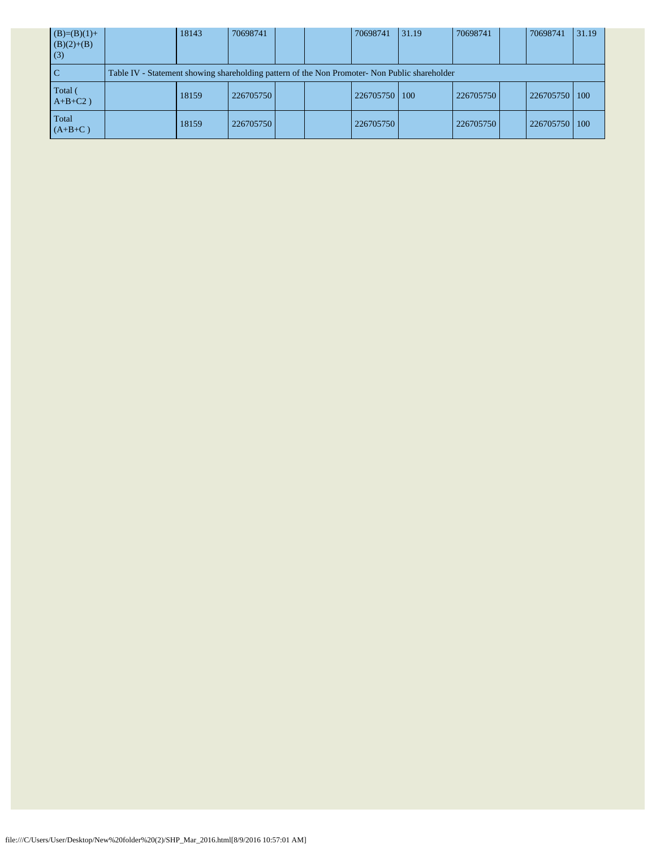| $(B)=(B)(1)+$<br>$(B)(2)+(B)$<br>(3) | 18143                                                                                         | 70698741  |  |  | 70698741  | 131.19 | 70698741  |  | 70698741  | 31.19 |  |
|--------------------------------------|-----------------------------------------------------------------------------------------------|-----------|--|--|-----------|--------|-----------|--|-----------|-------|--|
| <sub>C</sub>                         | Table IV - Statement showing shareholding pattern of the Non Promoter- Non Public shareholder |           |  |  |           |        |           |  |           |       |  |
| Total (<br>$A+B+C2$ )                | 18159                                                                                         | 226705750 |  |  | 226705750 | 100    | 226705750 |  | 226705750 | 100   |  |
| Total<br>$(A+B+C)$                   | 18159                                                                                         | 226705750 |  |  | 226705750 |        | 226705750 |  | 226705750 | 100   |  |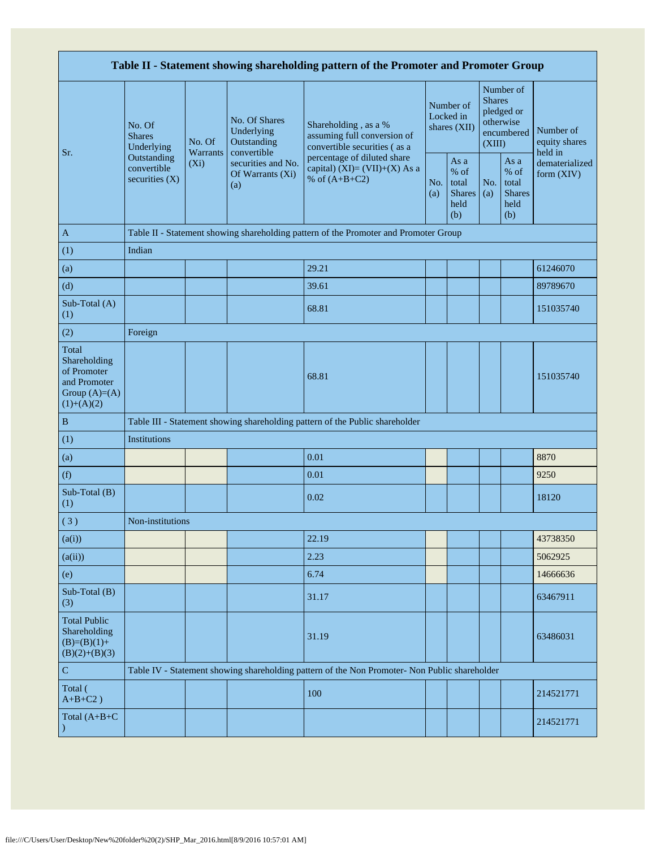| Table II - Statement showing shareholding pattern of the Promoter and Promoter Group    |                                                                                         |                                                                                      |                                                              |                                                                                               |                                        |                                                         |                                                                               |                                                       |                                       |  |  |  |
|-----------------------------------------------------------------------------------------|-----------------------------------------------------------------------------------------|--------------------------------------------------------------------------------------|--------------------------------------------------------------|-----------------------------------------------------------------------------------------------|----------------------------------------|---------------------------------------------------------|-------------------------------------------------------------------------------|-------------------------------------------------------|---------------------------------------|--|--|--|
| Sr.                                                                                     | No. Of<br><b>Shares</b><br>Underlying<br>Outstanding<br>convertible<br>securities $(X)$ | No. Of                                                                               | No. Of Shares<br>Underlying<br>Outstanding                   | Shareholding, as a %<br>assuming full conversion of<br>convertible securities (as a           | Number of<br>Locked in<br>shares (XII) |                                                         | Number of<br><b>Shares</b><br>pledged or<br>otherwise<br>encumbered<br>(XIII) |                                                       | Number of<br>equity shares<br>held in |  |  |  |
|                                                                                         |                                                                                         | <b>Warrants</b><br>$(X_i)$                                                           | convertible<br>securities and No.<br>Of Warrants (Xi)<br>(a) | percentage of diluted share<br>capital) $(XI)=(VII)+(X)$ As a<br>% of $(A+B+C2)$              | No.<br>(a)                             | As a<br>$%$ of<br>total<br><b>Shares</b><br>held<br>(b) | No.<br>(a)                                                                    | As a<br>% of<br>total<br><b>Shares</b><br>held<br>(b) | dematerialized<br>form (XIV)          |  |  |  |
| $\mathbf{A}$                                                                            |                                                                                         | Table II - Statement showing shareholding pattern of the Promoter and Promoter Group |                                                              |                                                                                               |                                        |                                                         |                                                                               |                                                       |                                       |  |  |  |
| (1)                                                                                     | Indian                                                                                  |                                                                                      |                                                              |                                                                                               |                                        |                                                         |                                                                               |                                                       |                                       |  |  |  |
| (a)                                                                                     |                                                                                         |                                                                                      |                                                              | 29.21                                                                                         |                                        |                                                         |                                                                               |                                                       | 61246070                              |  |  |  |
| (d)                                                                                     |                                                                                         |                                                                                      |                                                              | 39.61                                                                                         |                                        |                                                         |                                                                               |                                                       | 89789670                              |  |  |  |
| Sub-Total (A)<br>(1)                                                                    |                                                                                         |                                                                                      |                                                              | 68.81                                                                                         |                                        |                                                         |                                                                               |                                                       | 151035740                             |  |  |  |
| (2)                                                                                     | Foreign                                                                                 |                                                                                      |                                                              |                                                                                               |                                        |                                                         |                                                                               |                                                       |                                       |  |  |  |
| Total<br>Shareholding<br>of Promoter<br>and Promoter<br>Group $(A)=(A)$<br>$(1)+(A)(2)$ |                                                                                         |                                                                                      |                                                              | 68.81                                                                                         |                                        |                                                         |                                                                               |                                                       | 151035740                             |  |  |  |
| $\, {\bf B}$                                                                            |                                                                                         |                                                                                      |                                                              | Table III - Statement showing shareholding pattern of the Public shareholder                  |                                        |                                                         |                                                                               |                                                       |                                       |  |  |  |
| (1)                                                                                     | Institutions                                                                            |                                                                                      |                                                              |                                                                                               |                                        |                                                         |                                                                               |                                                       |                                       |  |  |  |
| (a)                                                                                     |                                                                                         |                                                                                      |                                                              | 0.01                                                                                          |                                        |                                                         |                                                                               |                                                       | 8870                                  |  |  |  |
| (f)                                                                                     |                                                                                         |                                                                                      |                                                              | 0.01                                                                                          |                                        |                                                         |                                                                               |                                                       | 9250                                  |  |  |  |
| Sub-Total (B)<br>(1)                                                                    |                                                                                         |                                                                                      |                                                              | 0.02                                                                                          |                                        |                                                         |                                                                               |                                                       | 18120                                 |  |  |  |
| (3)                                                                                     | Non-institutions                                                                        |                                                                                      |                                                              |                                                                                               |                                        |                                                         |                                                                               |                                                       |                                       |  |  |  |
| (a(i))                                                                                  |                                                                                         |                                                                                      |                                                              | 22.19                                                                                         |                                        |                                                         |                                                                               |                                                       | 43738350                              |  |  |  |
| (a(ii))                                                                                 |                                                                                         |                                                                                      |                                                              | 2.23                                                                                          |                                        |                                                         |                                                                               |                                                       | 5062925                               |  |  |  |
| (e)                                                                                     |                                                                                         |                                                                                      |                                                              | 6.74                                                                                          |                                        |                                                         |                                                                               |                                                       | 14666636                              |  |  |  |
| Sub-Total (B)<br>(3)                                                                    |                                                                                         |                                                                                      |                                                              | 31.17                                                                                         |                                        |                                                         |                                                                               |                                                       | 63467911                              |  |  |  |
| <b>Total Public</b><br>Shareholding<br>$(B)=(B)(1)+$<br>$(B)(2)+(B)(3)$                 |                                                                                         |                                                                                      |                                                              | 31.19                                                                                         |                                        |                                                         |                                                                               |                                                       | 63486031                              |  |  |  |
| ${\bf C}$                                                                               |                                                                                         |                                                                                      |                                                              | Table IV - Statement showing shareholding pattern of the Non Promoter- Non Public shareholder |                                        |                                                         |                                                                               |                                                       |                                       |  |  |  |
| Total (<br>$A+B+C2$ )                                                                   |                                                                                         |                                                                                      |                                                              | 100                                                                                           |                                        |                                                         |                                                                               |                                                       | 214521771                             |  |  |  |
| Total (A+B+C                                                                            |                                                                                         |                                                                                      |                                                              |                                                                                               |                                        |                                                         |                                                                               |                                                       | 214521771                             |  |  |  |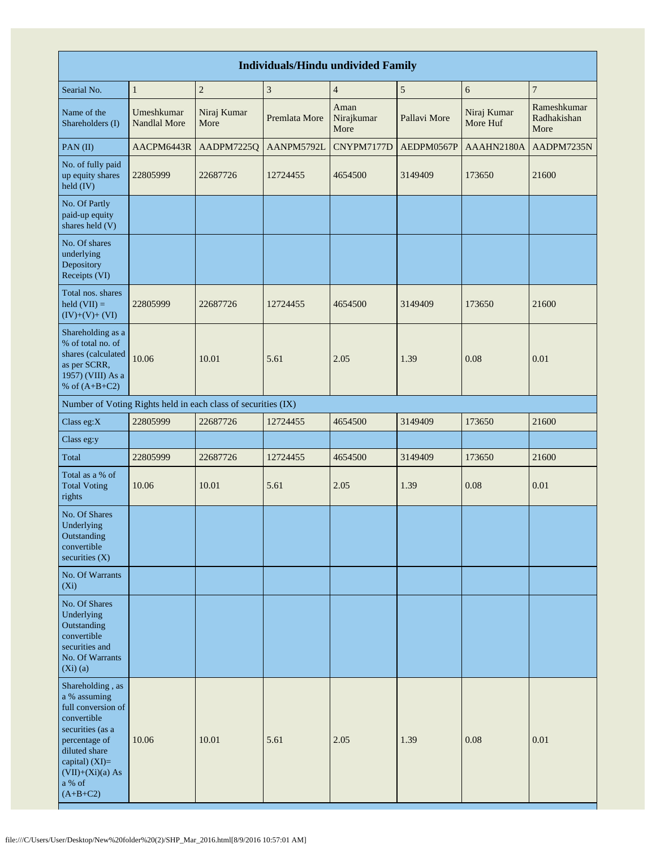|                                                                                                                                                                                                    | <b>Individuals/Hindu undivided Family</b> |                                                               |                |                            |               |                         |                                    |  |  |  |  |  |  |
|----------------------------------------------------------------------------------------------------------------------------------------------------------------------------------------------------|-------------------------------------------|---------------------------------------------------------------|----------------|----------------------------|---------------|-------------------------|------------------------------------|--|--|--|--|--|--|
| Searial No.                                                                                                                                                                                        | $\mathbf{1}$                              | $\sqrt{2}$                                                    | $\mathfrak{Z}$ | $\overline{4}$             | $\mathfrak s$ | 6                       | $\overline{7}$                     |  |  |  |  |  |  |
| Name of the<br>Shareholders (I)                                                                                                                                                                    | Umeshkumar<br><b>Nandlal More</b>         | Niraj Kumar<br>More                                           | Premlata More  | Aman<br>Nirajkumar<br>More | Pallavi More  | Niraj Kumar<br>More Huf | Rameshkumar<br>Radhakishan<br>More |  |  |  |  |  |  |
| PAN(II)                                                                                                                                                                                            | AACPM6443R                                | AADPM7225Q                                                    | AANPM5792L     | CNYPM7177D                 | AEDPM0567P    | AAAHN2180A              | AADPM7235N                         |  |  |  |  |  |  |
| No. of fully paid<br>up equity shares<br>held (IV)                                                                                                                                                 | 22805999                                  | 22687726                                                      | 12724455       | 4654500                    | 3149409       | 173650                  | 21600                              |  |  |  |  |  |  |
| No. Of Partly<br>paid-up equity<br>shares held (V)                                                                                                                                                 |                                           |                                                               |                |                            |               |                         |                                    |  |  |  |  |  |  |
| No. Of shares<br>underlying<br>Depository<br>Receipts (VI)                                                                                                                                         |                                           |                                                               |                |                            |               |                         |                                    |  |  |  |  |  |  |
| Total nos. shares<br>$\text{held (VII)} =$<br>$(IV)+(V)+(VI)$                                                                                                                                      | 22805999                                  | 22687726                                                      | 12724455       | 4654500                    | 3149409       | 173650                  | 21600                              |  |  |  |  |  |  |
| Shareholding as a<br>% of total no. of<br>shares (calculated<br>as per SCRR,<br>1957) (VIII) As a<br>% of $(A+B+C2)$                                                                               | 10.06                                     | 10.01                                                         | 5.61           | 2.05                       | 1.39          | 0.08                    | 0.01                               |  |  |  |  |  |  |
|                                                                                                                                                                                                    |                                           | Number of Voting Rights held in each class of securities (IX) |                |                            |               |                         |                                    |  |  |  |  |  |  |
| Class eg:X                                                                                                                                                                                         | 22805999                                  | 22687726                                                      | 12724455       | 4654500                    | 3149409       | 173650                  | 21600                              |  |  |  |  |  |  |
| Class eg:y                                                                                                                                                                                         |                                           |                                                               |                |                            |               |                         |                                    |  |  |  |  |  |  |
| Total                                                                                                                                                                                              | 22805999                                  | 22687726                                                      | 12724455       | 4654500                    | 3149409       | 173650                  | 21600                              |  |  |  |  |  |  |
| Total as a % of<br><b>Total Voting</b><br>rights                                                                                                                                                   | 10.06                                     | 10.01                                                         | 5.61           | 2.05                       | 1.39          | 0.08                    | 0.01                               |  |  |  |  |  |  |
| No. Of Shares<br>Underlying<br>Outstanding<br>convertible<br>securities $(X)$                                                                                                                      |                                           |                                                               |                |                            |               |                         |                                    |  |  |  |  |  |  |
| No. Of Warrants<br>$(X_i)$                                                                                                                                                                         |                                           |                                                               |                |                            |               |                         |                                    |  |  |  |  |  |  |
| No. Of Shares<br>Underlying<br>Outstanding<br>convertible<br>securities and<br>No. Of Warrants<br>$(Xi)$ (a)                                                                                       |                                           |                                                               |                |                            |               |                         |                                    |  |  |  |  |  |  |
| Shareholding, as<br>a % assuming<br>full conversion of<br>convertible<br>securities (as a<br>percentage of<br>diluted share<br>capital) (XI)=<br>$(VII)+(Xi)(a) As$<br>$\rm{a}$ % of<br>$(A+B+C2)$ | 10.06                                     | 10.01                                                         | 5.61           | 2.05                       | 1.39          | 0.08                    | 0.01                               |  |  |  |  |  |  |

H.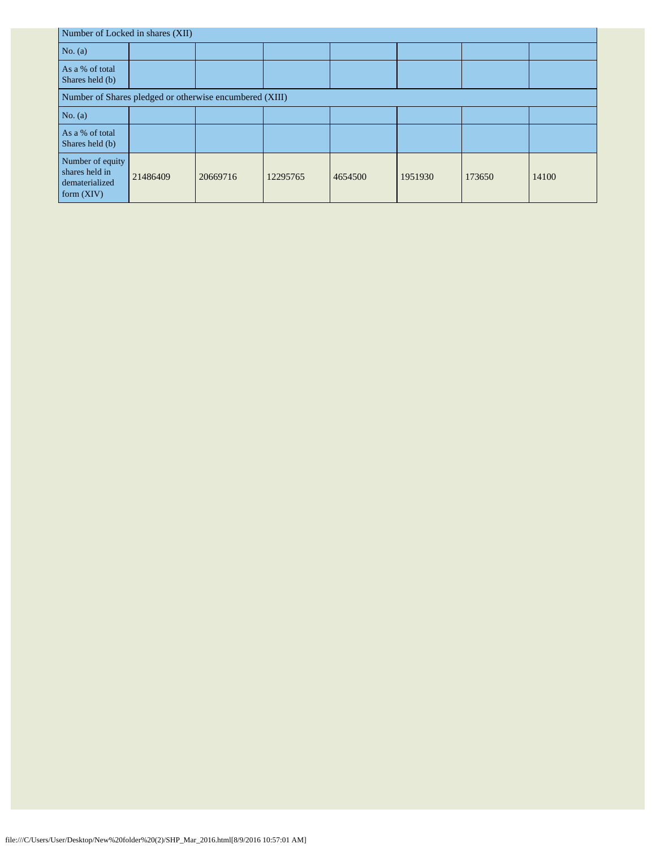| Number of Locked in shares (XII)                                     |          |          |          |         |         |        |       |  |  |  |  |
|----------------------------------------------------------------------|----------|----------|----------|---------|---------|--------|-------|--|--|--|--|
| No. $(a)$                                                            |          |          |          |         |         |        |       |  |  |  |  |
| As a % of total<br>Shares held (b)                                   |          |          |          |         |         |        |       |  |  |  |  |
| Number of Shares pledged or otherwise encumbered (XIII)              |          |          |          |         |         |        |       |  |  |  |  |
| No. $(a)$                                                            |          |          |          |         |         |        |       |  |  |  |  |
| As a % of total<br>Shares held (b)                                   |          |          |          |         |         |        |       |  |  |  |  |
| Number of equity<br>shares held in<br>dematerialized<br>form $(XIV)$ | 21486409 | 20669716 | 12295765 | 4654500 | 1951930 | 173650 | 14100 |  |  |  |  |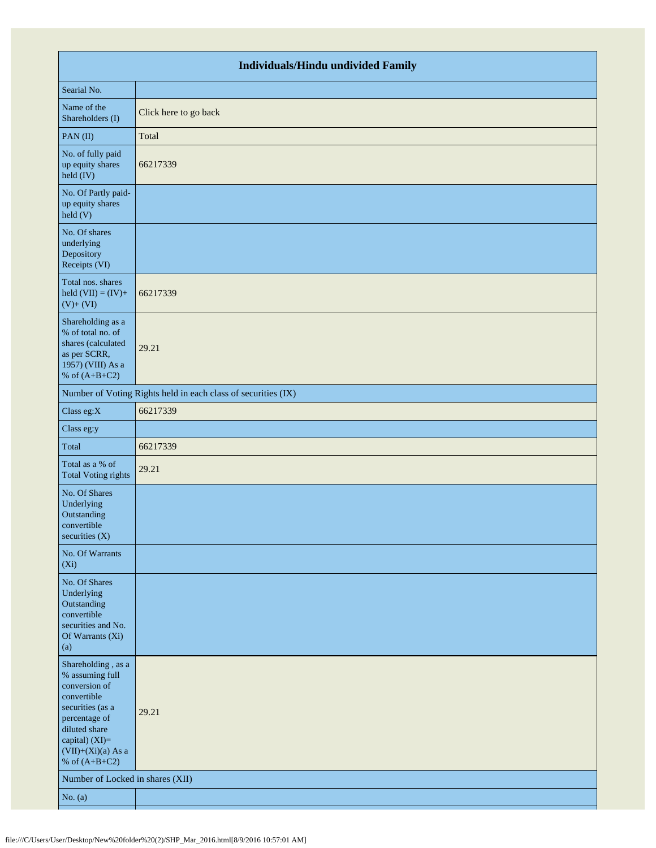|                                                                                                                                                                                          | <b>Individuals/Hindu undivided Family</b>                     |  |  |  |  |  |  |  |  |  |
|------------------------------------------------------------------------------------------------------------------------------------------------------------------------------------------|---------------------------------------------------------------|--|--|--|--|--|--|--|--|--|
| Searial No.                                                                                                                                                                              |                                                               |  |  |  |  |  |  |  |  |  |
| Name of the<br>Shareholders (I)                                                                                                                                                          | Click here to go back                                         |  |  |  |  |  |  |  |  |  |
| PAN(II)                                                                                                                                                                                  | Total                                                         |  |  |  |  |  |  |  |  |  |
| No. of fully paid<br>up equity shares<br>$\text{held (IV)}$                                                                                                                              | 66217339                                                      |  |  |  |  |  |  |  |  |  |
| No. Of Partly paid-<br>up equity shares<br>$\text{held}$ (V)                                                                                                                             |                                                               |  |  |  |  |  |  |  |  |  |
| No. Of shares<br>underlying<br>Depository<br>Receipts (VI)                                                                                                                               |                                                               |  |  |  |  |  |  |  |  |  |
| Total nos. shares<br>held $(VII) = (IV) +$<br>$(V)+(VI)$                                                                                                                                 | 66217339                                                      |  |  |  |  |  |  |  |  |  |
| Shareholding as a<br>% of total no. of<br>shares (calculated<br>as per SCRR,<br>1957) (VIII) As a<br>% of $(A+B+C2)$                                                                     | 29.21                                                         |  |  |  |  |  |  |  |  |  |
|                                                                                                                                                                                          | Number of Voting Rights held in each class of securities (IX) |  |  |  |  |  |  |  |  |  |
| Class eg:X                                                                                                                                                                               | 66217339                                                      |  |  |  |  |  |  |  |  |  |
| Class eg:y                                                                                                                                                                               |                                                               |  |  |  |  |  |  |  |  |  |
| Total                                                                                                                                                                                    | 66217339                                                      |  |  |  |  |  |  |  |  |  |
| Total as a % of<br><b>Total Voting rights</b>                                                                                                                                            | 29.21                                                         |  |  |  |  |  |  |  |  |  |
| No. Of Shares<br>Underlying<br>Outstanding<br>convertible<br>securities (X)                                                                                                              |                                                               |  |  |  |  |  |  |  |  |  |
| No. Of Warrants<br>$(X_i)$                                                                                                                                                               |                                                               |  |  |  |  |  |  |  |  |  |
| No. Of Shares<br>Underlying<br>Outstanding<br>convertible<br>securities and No.<br>Of Warrants (Xi)<br>(a)                                                                               |                                                               |  |  |  |  |  |  |  |  |  |
| Shareholding, as a<br>% assuming full<br>conversion of<br>convertible<br>securities (as a<br>percentage of<br>diluted share<br>capital) (XI)=<br>$(VII)+(Xi)(a)$ As a<br>% of $(A+B+C2)$ | 29.21                                                         |  |  |  |  |  |  |  |  |  |
| Number of Locked in shares (XII)                                                                                                                                                         |                                                               |  |  |  |  |  |  |  |  |  |
| No. $(a)$                                                                                                                                                                                |                                                               |  |  |  |  |  |  |  |  |  |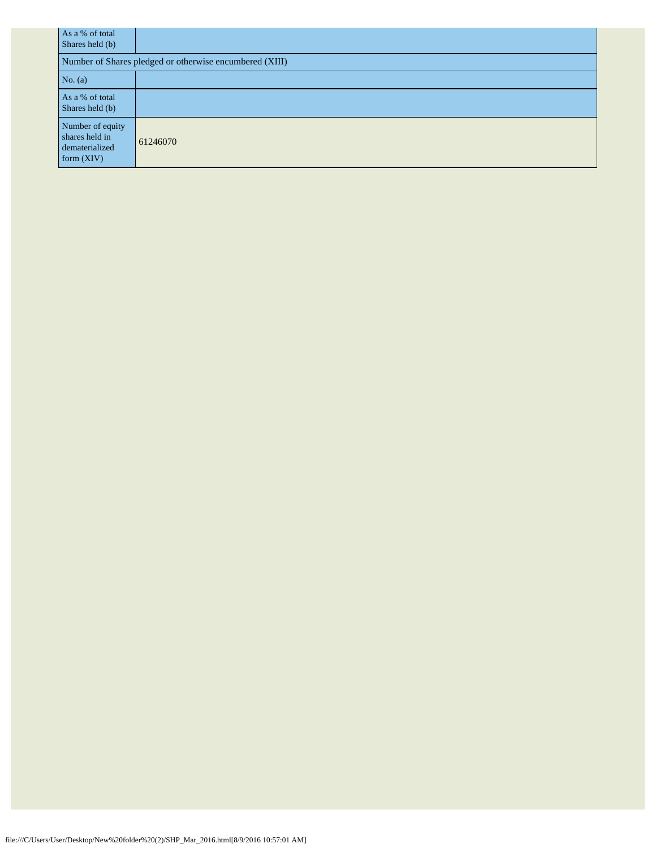| As a % of total<br>Shares held (b)                                   |                                                         |
|----------------------------------------------------------------------|---------------------------------------------------------|
|                                                                      | Number of Shares pledged or otherwise encumbered (XIII) |
| No. $(a)$                                                            |                                                         |
| As a % of total<br>Shares held (b)                                   |                                                         |
| Number of equity<br>shares held in<br>dematerialized<br>form $(XIV)$ | 61246070                                                |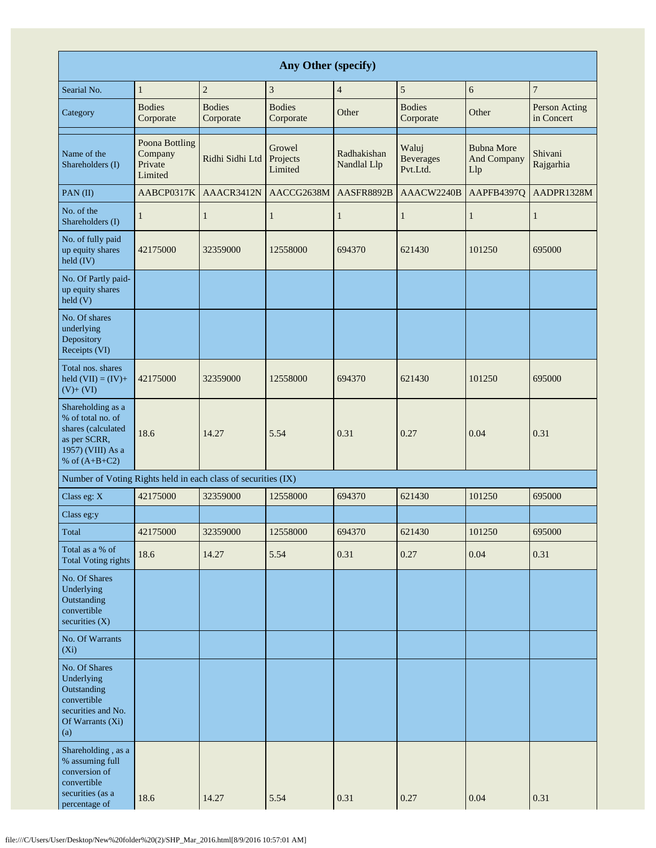|                                                                                                                      | <b>Any Other (specify)</b>                      |                            |                               |                            |                                       |                                                |                             |  |  |  |  |  |  |
|----------------------------------------------------------------------------------------------------------------------|-------------------------------------------------|----------------------------|-------------------------------|----------------------------|---------------------------------------|------------------------------------------------|-----------------------------|--|--|--|--|--|--|
| Searial No.                                                                                                          | $\mathbf{1}$                                    | $\overline{c}$             | 3                             | $\overline{4}$             | 5                                     | 6                                              | $\overline{7}$              |  |  |  |  |  |  |
| Category                                                                                                             | <b>Bodies</b><br>Corporate                      | <b>Bodies</b><br>Corporate | <b>Bodies</b><br>Corporate    | Other                      | <b>Bodies</b><br>Corporate            | Other                                          | Person Acting<br>in Concert |  |  |  |  |  |  |
| Name of the<br>Shareholders (I)                                                                                      | Poona Bottling<br>Company<br>Private<br>Limited | Ridhi Sidhi Ltd            | Growel<br>Projects<br>Limited | Radhakishan<br>Nandlal Llp | Waluj<br><b>Beverages</b><br>Pvt.Ltd. | <b>Bubna More</b><br><b>And Company</b><br>Llp | Shivani<br>Rajgarhia        |  |  |  |  |  |  |
| PAN(II)                                                                                                              | AABCP0317K                                      | AAACR3412N                 | AACCG2638M                    | AASFR8892B                 | AAACW2240B                            | AAPFB4397Q                                     | AADPR1328M                  |  |  |  |  |  |  |
| No. of the<br>Shareholders (I)                                                                                       | $\mathbf{1}$                                    | 1                          | 1                             | 1                          | 1                                     | $\mathbf{1}$                                   | $\mathbf{1}$                |  |  |  |  |  |  |
| No. of fully paid<br>up equity shares<br>held (IV)                                                                   | 42175000                                        | 32359000                   | 12558000                      | 694370                     | 621430                                | 101250                                         | 695000                      |  |  |  |  |  |  |
| No. Of Partly paid-<br>up equity shares<br>$\text{held}$ (V)                                                         |                                                 |                            |                               |                            |                                       |                                                |                             |  |  |  |  |  |  |
| No. Of shares<br>underlying<br>Depository<br>Receipts (VI)                                                           |                                                 |                            |                               |                            |                                       |                                                |                             |  |  |  |  |  |  |
| Total nos. shares<br>held $(VII) = (IV) +$<br>$(V)+(VI)$                                                             | 42175000                                        | 32359000                   | 12558000                      | 694370                     | 621430                                | 101250                                         | 695000                      |  |  |  |  |  |  |
| Shareholding as a<br>% of total no. of<br>shares (calculated<br>as per SCRR,<br>1957) (VIII) As a<br>% of $(A+B+C2)$ | 18.6                                            | 14.27                      | 5.54                          | 0.31                       | 0.27                                  | 0.04                                           | 0.31                        |  |  |  |  |  |  |
| Number of Voting Rights held in each class of securities (IX)                                                        |                                                 |                            |                               |                            |                                       |                                                |                             |  |  |  |  |  |  |
| Class eg: X                                                                                                          | 42175000                                        | 32359000                   | 12558000                      | 694370                     | 621430                                | 101250                                         | 695000                      |  |  |  |  |  |  |
| Class eg:y                                                                                                           |                                                 |                            |                               |                            |                                       |                                                |                             |  |  |  |  |  |  |
| Total                                                                                                                | 42175000                                        | 32359000                   | 12558000                      | 694370                     | 621430                                | 101250                                         | 695000                      |  |  |  |  |  |  |
| Total as a % of<br><b>Total Voting rights</b>                                                                        | 18.6                                            | 14.27                      | 5.54                          | 0.31                       | 0.27                                  | 0.04                                           | 0.31                        |  |  |  |  |  |  |
| No. Of Shares<br>Underlying<br>Outstanding<br>convertible<br>securities (X)                                          |                                                 |                            |                               |                            |                                       |                                                |                             |  |  |  |  |  |  |
| No. Of Warrants<br>(Xi)                                                                                              |                                                 |                            |                               |                            |                                       |                                                |                             |  |  |  |  |  |  |
| No. Of Shares<br>Underlying<br>Outstanding<br>convertible<br>securities and No.<br>Of Warrants (Xi)<br>(a)           |                                                 |                            |                               |                            |                                       |                                                |                             |  |  |  |  |  |  |
| Shareholding, as a<br>% assuming full<br>conversion of<br>convertible<br>securities (as a<br>percentage of           | 18.6                                            | 14.27                      | 5.54                          | 0.31                       | 0.27                                  | 0.04                                           | 0.31                        |  |  |  |  |  |  |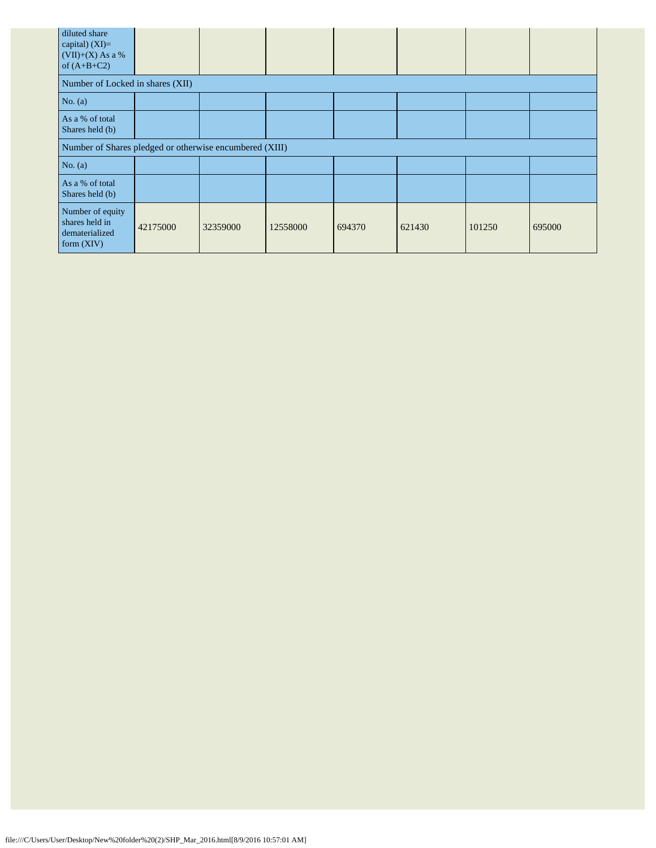| diluted share<br>capital) $(XI)=$<br>$(VII)+(X)$ As a %<br>of $(A+B+C2)$ |          |          |          |        |        |        |        |
|--------------------------------------------------------------------------|----------|----------|----------|--------|--------|--------|--------|
| Number of Locked in shares (XII)                                         |          |          |          |        |        |        |        |
| No. $(a)$                                                                |          |          |          |        |        |        |        |
| As a % of total<br>Shares held (b)                                       |          |          |          |        |        |        |        |
| Number of Shares pledged or otherwise encumbered (XIII)                  |          |          |          |        |        |        |        |
| No. $(a)$                                                                |          |          |          |        |        |        |        |
| As a % of total<br>Shares held (b)                                       |          |          |          |        |        |        |        |
| Number of equity<br>shares held in<br>dematerialized<br>form $(XIV)$     | 42175000 | 32359000 | 12558000 | 694370 | 621430 | 101250 | 695000 |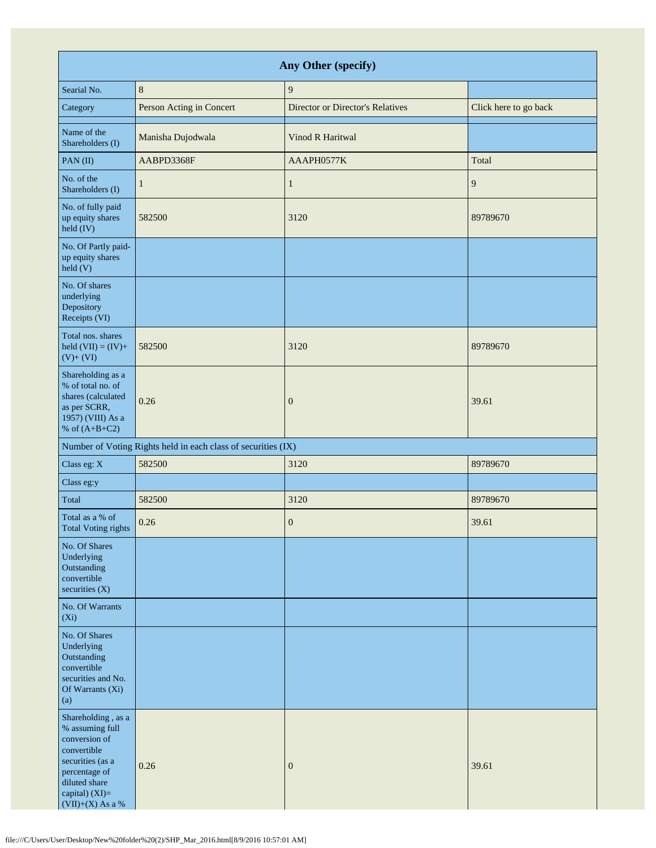| Any Other (specify)                                                                                                                                                 |                                                               |                                  |                       |  |  |  |
|---------------------------------------------------------------------------------------------------------------------------------------------------------------------|---------------------------------------------------------------|----------------------------------|-----------------------|--|--|--|
| Searial No.                                                                                                                                                         | $8\,$                                                         | $\boldsymbol{9}$                 |                       |  |  |  |
| Category                                                                                                                                                            | Person Acting in Concert                                      | Director or Director's Relatives | Click here to go back |  |  |  |
| Name of the<br>Shareholders (I)                                                                                                                                     | Manisha Dujodwala                                             | Vinod R Haritwal                 |                       |  |  |  |
| PAN(II)                                                                                                                                                             | AABPD3368F                                                    | AAAPH0577K                       | Total                 |  |  |  |
| No. of the<br>Shareholders (I)                                                                                                                                      | 1                                                             | $\mathbf{1}$                     | 9                     |  |  |  |
| No. of fully paid<br>up equity shares<br>held (IV)                                                                                                                  | 582500                                                        | 3120                             | 89789670              |  |  |  |
| No. Of Partly paid-<br>up equity shares<br>$\text{held}$ (V)                                                                                                        |                                                               |                                  |                       |  |  |  |
| No. Of shares<br>underlying<br>Depository<br>Receipts (VI)                                                                                                          |                                                               |                                  |                       |  |  |  |
| Total nos. shares<br>held $(VII) = (IV) +$<br>$(V)+(VI)$                                                                                                            | 582500                                                        | 3120                             | 89789670              |  |  |  |
| Shareholding as a<br>% of total no. of<br>shares (calculated<br>as per SCRR,<br>1957) (VIII) As a<br>% of $(A+B+C2)$                                                | 0.26                                                          | $\boldsymbol{0}$                 | 39.61                 |  |  |  |
|                                                                                                                                                                     | Number of Voting Rights held in each class of securities (IX) |                                  |                       |  |  |  |
| Class eg: X                                                                                                                                                         | 582500                                                        | 3120                             | 89789670              |  |  |  |
| Class eg:y                                                                                                                                                          |                                                               |                                  |                       |  |  |  |
| Total                                                                                                                                                               | 582500                                                        | 3120                             | 89789670              |  |  |  |
| Total as a % of<br>Total Voting rights                                                                                                                              | 0.26                                                          | $\boldsymbol{0}$                 | 39.61                 |  |  |  |
| No. Of Shares<br>Underlying<br>Outstanding<br>convertible<br>securities $(X)$                                                                                       |                                                               |                                  |                       |  |  |  |
| No. Of Warrants<br>$(X_i)$                                                                                                                                          |                                                               |                                  |                       |  |  |  |
| No. Of Shares<br>Underlying<br>Outstanding<br>convertible<br>securities and No.<br>Of Warrants (Xi)<br>(a)                                                          |                                                               |                                  |                       |  |  |  |
| Shareholding, as a<br>% assuming full<br>conversion of<br>convertible<br>securities (as a<br>percentage of<br>diluted share<br>capital) (XI)=<br>$(VII)+(X)$ As a % | 0.26                                                          | $\boldsymbol{0}$                 | 39.61                 |  |  |  |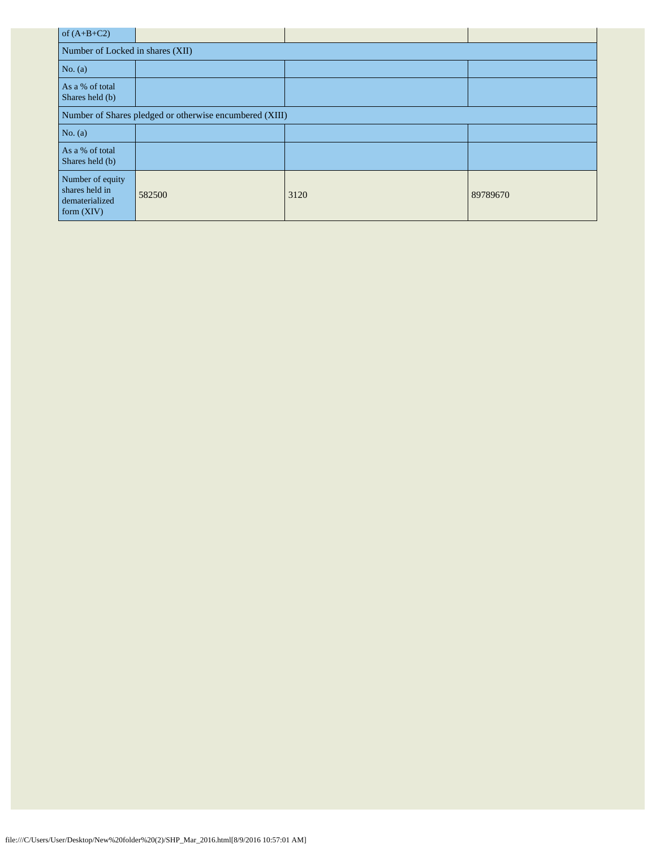| of $(A+B+C2)$                                                        |        |      |          |  |  |
|----------------------------------------------------------------------|--------|------|----------|--|--|
| Number of Locked in shares (XII)                                     |        |      |          |  |  |
| No. $(a)$                                                            |        |      |          |  |  |
| As a % of total<br>Shares held (b)                                   |        |      |          |  |  |
| Number of Shares pledged or otherwise encumbered (XIII)              |        |      |          |  |  |
| No. $(a)$                                                            |        |      |          |  |  |
| As a % of total<br>Shares held (b)                                   |        |      |          |  |  |
| Number of equity<br>shares held in<br>dematerialized<br>form $(XIV)$ | 582500 | 3120 | 89789670 |  |  |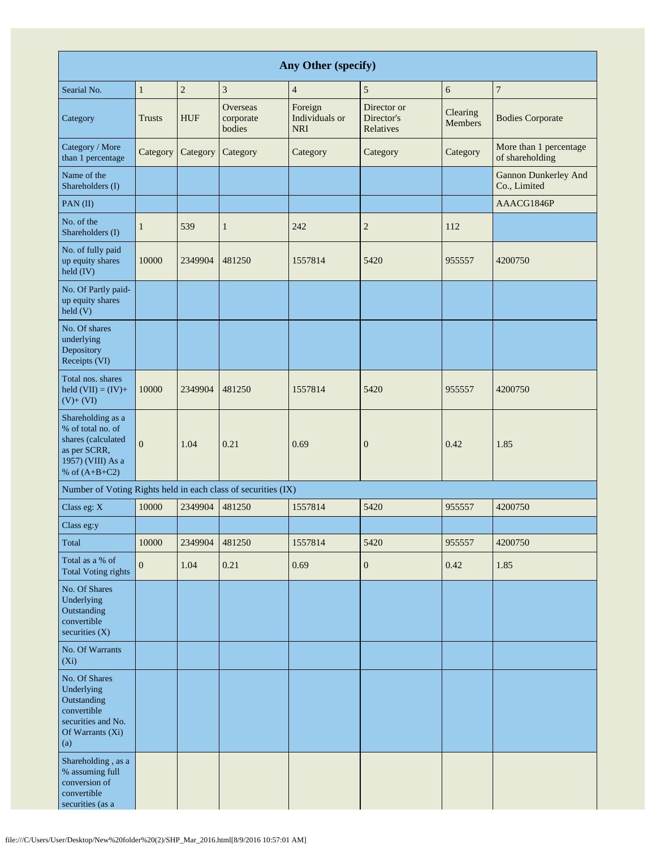| Any Other (specify)                                                                                                  |                |            |                                 |                                         |                                        |                     |                                             |
|----------------------------------------------------------------------------------------------------------------------|----------------|------------|---------------------------------|-----------------------------------------|----------------------------------------|---------------------|---------------------------------------------|
| Searial No.                                                                                                          | $\mathbf{1}$   | $\sqrt{2}$ | 3                               | $\overline{4}$                          | 5                                      | 6                   | $\boldsymbol{7}$                            |
| Category                                                                                                             | <b>Trusts</b>  | <b>HUF</b> | Overseas<br>corporate<br>bodies | Foreign<br>Individuals or<br><b>NRI</b> | Director or<br>Director's<br>Relatives | Clearing<br>Members | <b>Bodies Corporate</b>                     |
| Category / More<br>than 1 percentage                                                                                 | Category       | Category   | Category                        | Category                                | Category                               | Category            | More than 1 percentage<br>of shareholding   |
| Name of the<br>Shareholders (I)                                                                                      |                |            |                                 |                                         |                                        |                     | <b>Gannon Dunkerley And</b><br>Co., Limited |
| PAN(II)                                                                                                              |                |            |                                 |                                         |                                        |                     | AAACG1846P                                  |
| No. of the<br>Shareholders (I)                                                                                       | $\mathbf{1}$   | 539        | $\mathbf{1}$                    | 242                                     | $\overline{c}$                         | 112                 |                                             |
| No. of fully paid<br>up equity shares<br>held (IV)                                                                   | 10000          | 2349904    | 481250                          | 1557814                                 | 5420                                   | 955557              | 4200750                                     |
| No. Of Partly paid-<br>up equity shares<br>$\text{held}$ (V)                                                         |                |            |                                 |                                         |                                        |                     |                                             |
| No. Of shares<br>underlying<br>Depository<br>Receipts (VI)                                                           |                |            |                                 |                                         |                                        |                     |                                             |
| Total nos. shares<br>held $(VII) = (IV) +$<br>$(V)+(VI)$                                                             | 10000          | 2349904    | 481250                          | 1557814                                 | 5420                                   | 955557              | 4200750                                     |
| Shareholding as a<br>% of total no. of<br>shares (calculated<br>as per SCRR,<br>1957) (VIII) As a<br>% of $(A+B+C2)$ | $\overline{0}$ | 1.04       | 0.21                            | 0.69                                    | $\boldsymbol{0}$                       | 0.42                | 1.85                                        |
| Number of Voting Rights held in each class of securities (IX)                                                        |                |            |                                 |                                         |                                        |                     |                                             |
| Class eg: X                                                                                                          | 10000          | 2349904    | 481250                          | 1557814                                 | 5420                                   | 955557              | 4200750                                     |
| Class eg:y                                                                                                           |                |            |                                 |                                         |                                        |                     |                                             |
| Total                                                                                                                | 10000          | 2349904    | 481250                          | 1557814                                 | 5420                                   | 955557              | 4200750                                     |
| Total as a % of<br><b>Total Voting rights</b>                                                                        | $\mathbf{0}$   | 1.04       | 0.21                            | 0.69                                    | $\boldsymbol{0}$                       | 0.42                | 1.85                                        |
| No. Of Shares<br>Underlying<br>Outstanding<br>convertible<br>securities $(X)$                                        |                |            |                                 |                                         |                                        |                     |                                             |
| No. Of Warrants<br>$(X_i)$                                                                                           |                |            |                                 |                                         |                                        |                     |                                             |
| No. Of Shares<br>Underlying<br>Outstanding<br>convertible<br>securities and No.<br>Of Warrants (Xi)<br>(a)           |                |            |                                 |                                         |                                        |                     |                                             |
| Shareholding, as a<br>% assuming full<br>conversion of<br>convertible<br>securities (as a                            |                |            |                                 |                                         |                                        |                     |                                             |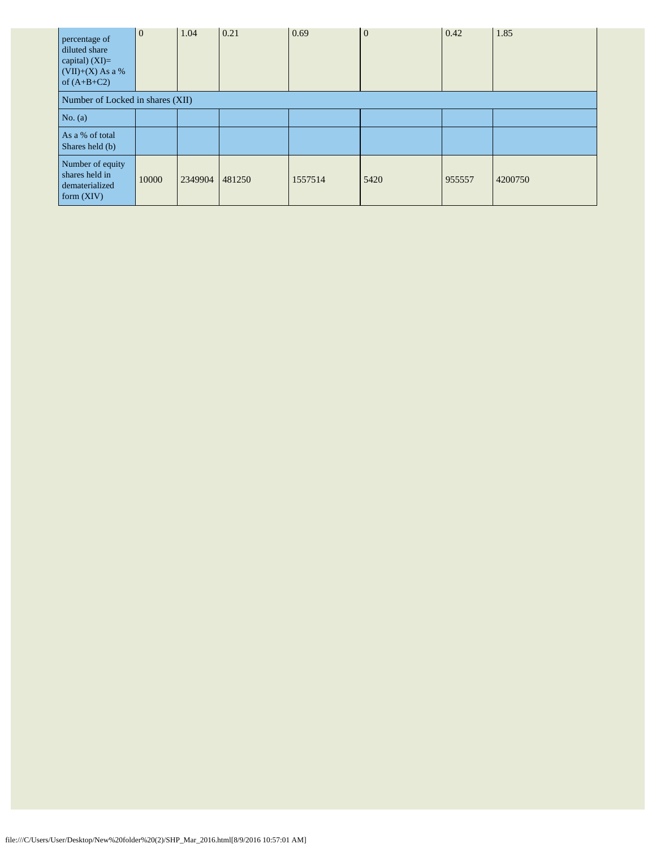| percentage of<br>diluted share<br>capital) $(XI)=$<br>$(VII)+(X)$ As a %<br>of $(A+B+C2)$ | $\overline{0}$                   | 1.04    | 0.21   | 0.69    | $\overline{0}$ | 0.42   | 1.85    |
|-------------------------------------------------------------------------------------------|----------------------------------|---------|--------|---------|----------------|--------|---------|
|                                                                                           | Number of Locked in shares (XII) |         |        |         |                |        |         |
| No. $(a)$                                                                                 |                                  |         |        |         |                |        |         |
| As a % of total<br>Shares held (b)                                                        |                                  |         |        |         |                |        |         |
| Number of equity<br>shares held in<br>dematerialized<br>form $(XIV)$                      | 10000                            | 2349904 | 481250 | 1557514 | 5420           | 955557 | 4200750 |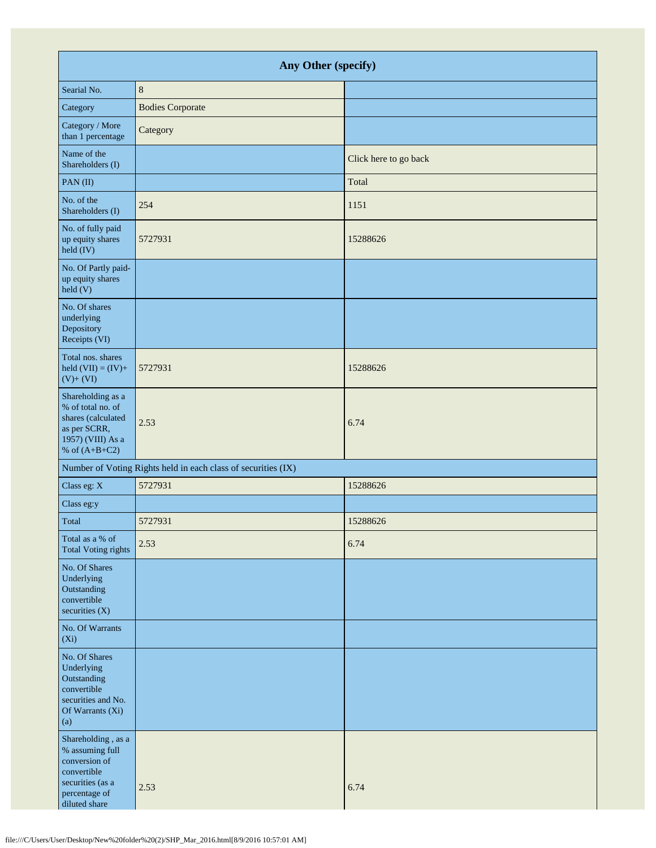| Any Other (specify)                                                                                                         |                                                               |                       |  |  |  |  |
|-----------------------------------------------------------------------------------------------------------------------------|---------------------------------------------------------------|-----------------------|--|--|--|--|
| Searial No.                                                                                                                 | $8\phantom{1}$                                                |                       |  |  |  |  |
| Category                                                                                                                    | <b>Bodies Corporate</b>                                       |                       |  |  |  |  |
| Category / More<br>than 1 percentage                                                                                        | Category                                                      |                       |  |  |  |  |
| Name of the<br>Shareholders (I)                                                                                             |                                                               | Click here to go back |  |  |  |  |
| PAN(II)                                                                                                                     |                                                               | Total                 |  |  |  |  |
| No. of the<br>Shareholders (I)                                                                                              | 254                                                           | 1151                  |  |  |  |  |
| No. of fully paid<br>up equity shares<br>held (IV)                                                                          | 5727931                                                       | 15288626              |  |  |  |  |
| No. Of Partly paid-<br>up equity shares<br>held (V)                                                                         |                                                               |                       |  |  |  |  |
| No. Of shares<br>underlying<br>Depository<br>Receipts (VI)                                                                  |                                                               |                       |  |  |  |  |
| Total nos. shares<br>held $(VII) = (IV) +$<br>$(V)+(VI)$                                                                    | 5727931                                                       | 15288626              |  |  |  |  |
| Shareholding as a<br>% of total no. of<br>shares (calculated<br>as per SCRR,<br>1957) (VIII) As a<br>% of $(A+B+C2)$        | 2.53                                                          | 6.74                  |  |  |  |  |
|                                                                                                                             | Number of Voting Rights held in each class of securities (IX) |                       |  |  |  |  |
| Class eg: X                                                                                                                 | 5727931                                                       | 15288626              |  |  |  |  |
| Class eg:y                                                                                                                  |                                                               |                       |  |  |  |  |
| Total                                                                                                                       | 5727931                                                       | 15288626              |  |  |  |  |
| Total as a % of<br><b>Total Voting rights</b>                                                                               | 2.53                                                          | 6.74                  |  |  |  |  |
| No. Of Shares<br>Underlying<br>Outstanding<br>convertible<br>securities (X)                                                 |                                                               |                       |  |  |  |  |
| No. Of Warrants<br>$(X_i)$                                                                                                  |                                                               |                       |  |  |  |  |
| No. Of Shares<br>Underlying<br>Outstanding<br>convertible<br>securities and No.<br>Of Warrants (Xi)<br>(a)                  |                                                               |                       |  |  |  |  |
| Shareholding, as a<br>% assuming full<br>conversion of<br>convertible<br>securities (as a<br>percentage of<br>diluted share | 2.53                                                          | 6.74                  |  |  |  |  |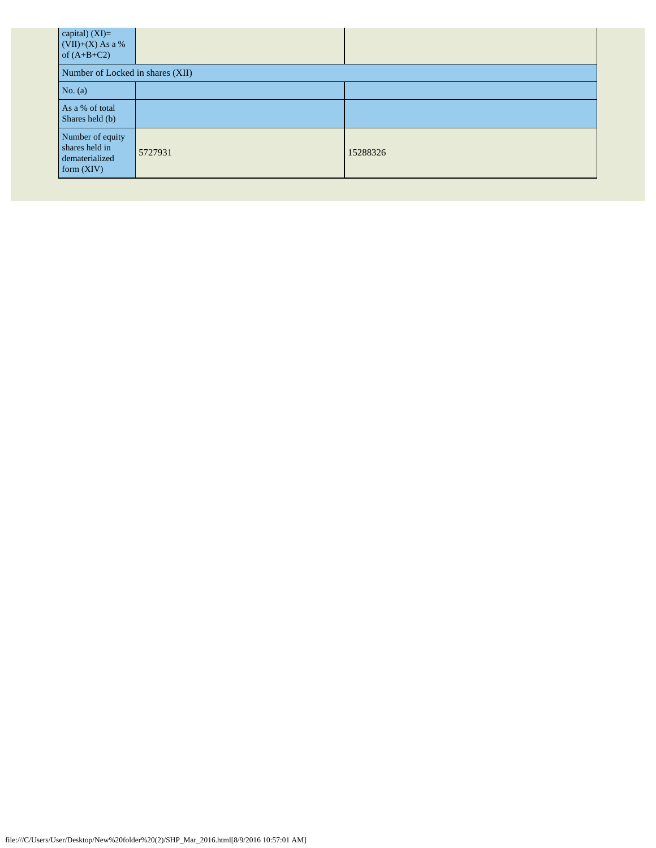| capital) $(XI)=$<br>$(VII)+(X)$ As a %<br>of $(A+B+C2)$           |         |          |  |  |  |
|-------------------------------------------------------------------|---------|----------|--|--|--|
| Number of Locked in shares (XII)                                  |         |          |  |  |  |
| No. $(a)$                                                         |         |          |  |  |  |
| As a % of total<br>Shares held (b)                                |         |          |  |  |  |
| Number of equity<br>shares held in<br>dematerialized<br>form(XIV) | 5727931 | 15288326 |  |  |  |